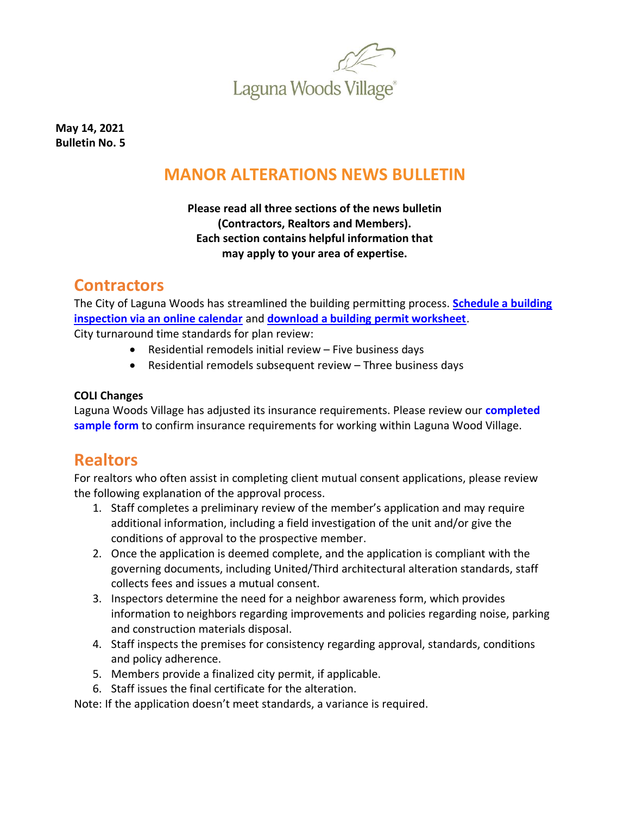

**May 14, 2021 Bulletin No. 5**

## **MANOR ALTERATIONS NEWS BULLETIN**

#### **Please read all three sections of the news bulletin (Contractors, Realtors and Members). Each section contains helpful information that may apply to your area of expertise.**

### **Contractors**

The City of Laguna Woods has streamlined the building permitting process. **[Schedule a building](https://www.cityoflagunawoods.org/our-services/building-permitting/)  [inspection via an online calendar](https://www.cityoflagunawoods.org/our-services/building-permitting/)** and **[download a building permit worksheet](https://www.cityoflagunawoods.org/wp-content/uploads/2020/10/2020-09-23-Building-Permit-Worksheet-FILLABLE-SECURED.pdf)**. City turnaround time standards for plan review:

- Residential remodels initial review Five business days
- Residential remodels subsequent review Three business days

#### **COLI Changes**

Laguna Woods Village has adjusted its insurance requirements. Please review our **[completed](https://lagunawoodsvillage.com/documents/view/5438/COLI%20Sample%20-%20500000.pdf)  [sample form](https://lagunawoodsvillage.com/documents/view/5438/COLI%20Sample%20-%20500000.pdf)** to confirm insurance requirements for working within Laguna Wood Village.

### **Realtors**

For realtors who often assist in completing client mutual consent applications, please review the following explanation of the approval process.

- 1. Staff completes a preliminary review of the member's application and may require additional information, including a field investigation of the unit and/or give the conditions of approval to the prospective member.
- 2. Once the application is deemed complete, and the application is compliant with the governing documents, including United/Third architectural alteration standards, staff collects fees and issues a mutual consent.
- 3. Inspectors determine the need for a neighbor awareness form, which provides information to neighbors regarding improvements and policies regarding noise, parking and construction materials disposal.
- 4. Staff inspects the premises for consistency regarding approval, standards, conditions and policy adherence.
- 5. Members provide a finalized city permit, if applicable.
- 6. Staff issues the final certificate for the alteration.

Note: If the application doesn't meet standards, a variance is required.